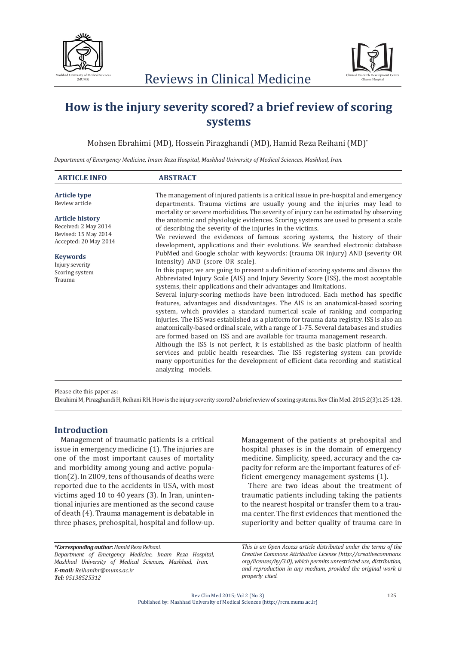



# **How is the injury severity scored? a brief review of scoring systems**

Mohsen Ebrahimi (MD), Hossein Pirazghandi (MD), Hamid Reza Reihani (MD)\*

*Department of Emergency Medicine, Imam Reza Hospital, Mashhad University of Medical Sciences, Mashhad, Iran.*

| <b>ARTICLE INFO</b>                                                                             | <b>ABSTRACT</b>                                                                                                                                                                                                                                                                                                                                                                                                                                                                                                                                                                                                                                                                                                                                                                                                                                                                                                                                                                                                                                                                                                                                                             |  |
|-------------------------------------------------------------------------------------------------|-----------------------------------------------------------------------------------------------------------------------------------------------------------------------------------------------------------------------------------------------------------------------------------------------------------------------------------------------------------------------------------------------------------------------------------------------------------------------------------------------------------------------------------------------------------------------------------------------------------------------------------------------------------------------------------------------------------------------------------------------------------------------------------------------------------------------------------------------------------------------------------------------------------------------------------------------------------------------------------------------------------------------------------------------------------------------------------------------------------------------------------------------------------------------------|--|
| <b>Article type</b><br>Review article                                                           | The management of injured patients is a critical issue in pre-hospital and emergency<br>departments. Trauma victims are usually young and the injuries may lead to                                                                                                                                                                                                                                                                                                                                                                                                                                                                                                                                                                                                                                                                                                                                                                                                                                                                                                                                                                                                          |  |
| <b>Article history</b><br>Received: 2 May 2014<br>Revised: 15 May 2014<br>Accepted: 20 May 2014 | mortality or severe morbidities. The severity of injury can be estimated by observing<br>the anatomic and physiologic evidences. Scoring systems are used to present a scale<br>of describing the severity of the injuries in the victims.<br>We reviewed the evidences of famous scoring systems, the history of their<br>development, applications and their evolutions. We searched electronic database                                                                                                                                                                                                                                                                                                                                                                                                                                                                                                                                                                                                                                                                                                                                                                  |  |
| <b>Keywords</b><br>Injury severity<br>Scoring system<br>Trauma                                  | PubMed and Google scholar with keywords: (trauma OR injury) AND (severity OR<br>intensity) AND (score OR scale).<br>In this paper, we are going to present a definition of scoring systems and discuss the<br>Abbreviated Injury Scale (AIS) and Injury Severity Score (ISS), the most acceptable<br>systems, their applications and their advantages and limitations.<br>Several injury-scoring methods have been introduced. Each method has specific<br>features, advantages and disadvantages. The AIS is an anatomical-based scoring<br>system, which provides a standard numerical scale of ranking and comparing<br>injuries. The ISS was established as a platform for trauma data registry. ISS is also an<br>anatomically-based ordinal scale, with a range of 1-75. Several databases and studies<br>are formed based on ISS and are available for trauma management research.<br>Although the ISS is not perfect, it is established as the basic platform of health<br>services and public health researches. The ISS registering system can provide<br>many opportunities for the development of efficient data recording and statistical<br>analyzing models. |  |

Please cite this paper as:

Ebrahimi M, Pirazghandi H, Reihani RH. How is the injury severity scored? a brief review of scoring systems. Rev Clin Med. 2015;2(3):125-128.

# **Introduction**

Management of traumatic patients is a critical issue in emergency medicine (1). The injuries are one of the most important causes of mortality and morbidity among young and active population(2). In 2009, tens of thousands of deaths were reported due to the accidents in USA, with most victims aged 10 to 40 years (3). In Iran, unintentional injuries are mentioned as the second cause of death (4). Trauma management is debatable in three phases, prehospital, hospital and follow-up. Management of the patients at prehospital and hospital phases is in the domain of emergency medicine. Simplicity, speed, accuracy and the capacity for reform are the important features of efficient emergency management systems (1).

There are two ideas about the treatment of traumatic patients including taking the patients to the nearest hospital or transfer them to a trauma center. The first evidences that mentioned the superiority and better quality of trauma care in

*\*Corresponding author: Hamid Reza Reihani. Department of Emergency Medicine, Imam Reza Hospital, Mashhad University of Medical Sciences, Mashhad, Iran. E-mail: Reihanihr@mums.ac.ir Tel: 05138525312*

*This is an Open Access article distributed under the terms of the Creative Commons Attribution License (http://creativecommons. org/licenses/by/3.0), which permits unrestricted use, distribution, and reproduction in any medium, provided the original work is properly cited.*

Rev Clin Med 2015; Vol 2 (No 3) Published by: Mashhad University of Medical Sciences (http://rcm.mums.ac.ir)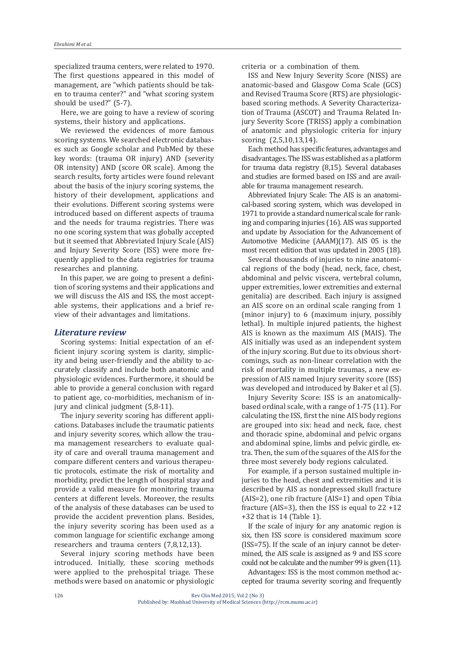specialized trauma centers, were related to 1970. The first questions appeared in this model of management, are "which patients should be taken to trauma center?" and "what scoring system should be used?" (5-7).

Here, we are going to have a review of scoring systems, their history and applications.

We reviewed the evidences of more famous scoring systems. We searched electronic databases such as Google scholar and PubMed by these key words: (trauma OR injury) AND (severity OR intensity) AND (score OR scale). Among the search results, forty articles were found relevant about the basis of the injury scoring systems, the history of their development, applications and their evolutions. Different scoring systems were introduced based on different aspects of trauma and the needs for trauma registries. There was no one scoring system that was globally accepted but it seemed that Abbreviated Injury Scale (AIS) and Injury Severity Score (ISS) were more frequently applied to the data registries for trauma researches and planning.

In this paper, we are going to present a definition of scoring systems and their applications and we will discuss the AIS and ISS, the most acceptable systems, their applications and a brief review of their advantages and limitations.

# *Literature review*

Scoring systems: Initial expectation of an efficient injury scoring system is clarity, simplicity and being user-friendly and the ability to accurately classify and include both anatomic and physiologic evidences. Furthermore, it should be able to provide a general conclusion with regard to patient age, co-morbidities, mechanism of injury and clinical judgment (5,8-11).

The injury severity scoring has different applications. Databases include the traumatic patients and injury severity scores, which allow the trauma management researchers to evaluate quality of care and overall trauma management and compare different centers and various therapeutic protocols, estimate the risk of mortality and morbidity, predict the length of hospital stay and provide a valid measure for monitoring trauma centers at different levels. Moreover, the results of the analysis of these databases can be used to provide the accident prevention plans. Besides, the injury severity scoring has been used as a common language for scientific exchange among researchers and trauma centers (7,8,12,13).

Several injury scoring methods have been introduced. Initially, these scoring methods were applied to the prehospital triage. These methods were based on anatomic or physiologic criteria or a combination of them.

ISS and New Injury Severity Score (NISS) are anatomic-based and Glasgow Coma Scale (GCS) and Revised Trauma Score (RTS) are physiologicbased scoring methods. A Severity Characterization of Trauma (ASCOT) and Trauma Related Injury Severity Score (TRISS) apply a combination of anatomic and physiologic criteria for injury scoring (2,5,10,13,14).

Each method has specific features, advantages and disadvantages. The ISS was established as a platform for trauma data registry (8,15). Several databases and studies are formed based on ISS and are available for trauma management research.

Abbreviated Injury Scale: The AIS is an anatomical-based scoring system, which was developed in 1971 to provide a standard numerical scale for ranking and comparing injuries (16). AIS was supported and update by Association for the Advancement of Automotive Medicine (AAAM)(17). AIS 05 is the most recent edition that was updated in 2005 (18).

Several thousands of injuries to nine anatomical regions of the body (head, neck, face, chest, abdominal and pelvic viscera, vertebral column, upper extremities, lower extremities and external genitalia) are described. Each injury is assigned an AIS score on an ordinal scale ranging from 1 (minor injury) to 6 (maximum injury, possibly lethal). In multiple injured patients, the highest AIS is known as the maximum AIS (MAIS). The AIS initially was used as an independent system of the injury scoring. But due to its obvious shortcomings, such as non-linear correlation with the risk of mortality in multiple traumas, a new expression of AIS named Injury severity score (ISS) was developed and introduced by Baker et al (5).

Injury Severity Score: ISS is an anatomicallybased ordinal scale, with a range of 1-75 (11). For calculating the ISS, first the nine AIS body regions are grouped into six: head and neck, face, chest and thoracic spine, abdominal and pelvic organs and abdominal spine, limbs and pelvic girdle, extra. Then, the sum of the squares of the AIS for the three most severely body regions calculated.

For example, if a person sustained multiple injuries to the head, chest and extremities and it is described by AIS as nondepressed skull fracture (AIS=2), one rib fracture (AIS=1) and open Tibia fracture (AIS=3), then the ISS is equal to  $22 + 12$ +32 that is 14 (Table 1).

If the scale of injury for any anatomic region is six, then ISS score is considered maximum score (ISS=75). If the scale of an injury cannot be determined, the AIS scale is assigned as 9 and ISS score could not be calculate and the number 99 is given (11).

Advantages: ISS is the most common method accepted for trauma severity scoring and frequently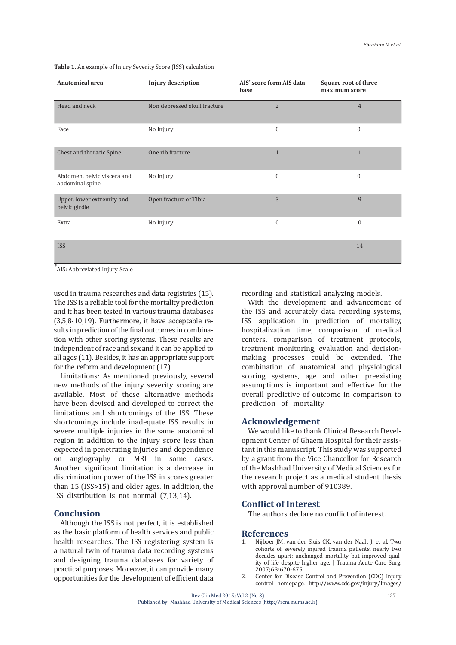| <b>Anatomical area</b>                         | <b>Injury description</b>    | AIS <sup>*</sup> score form AIS data<br>base | Square root of three<br>maximum score |
|------------------------------------------------|------------------------------|----------------------------------------------|---------------------------------------|
| Head and neck                                  | Non depressed skull fracture | $\overline{2}$                               | $\overline{4}$                        |
| Face                                           | No Injury                    | $\boldsymbol{0}$                             | $\mathbf{0}$                          |
| Chest and thoracic Spine                       | One rib fracture             | $\mathbf{1}$                                 | $\mathbf{1}$                          |
| Abdomen, pelvic viscera and<br>abdominal spine | No Injury                    | $\boldsymbol{0}$                             | $\mathbf{0}$                          |
| Upper, lower extremity and<br>pelvic girdle    | Open fracture of Tibia       | 3                                            | 9                                     |
| Extra                                          | No Injury                    | $\mathbf{0}$                                 | $\mathbf{0}$                          |
| <b>ISS</b>                                     |                              |                                              | 14                                    |

**Table 1.** An example of Injury Severity Score (ISS) calculation

\* AIS: Abbreviated Injury Scale

used in trauma researches and data registries (15). The ISS is a reliable tool for the mortality prediction and it has been tested in various trauma databases (3,5,8-10,19). Furthermore, it have acceptable results in prediction of the final outcomes in combination with other scoring systems. These results are independent of race and sex and it can be applied to all ages (11). Besides, it has an appropriate support for the reform and development (17).

Limitations: As mentioned previously, several new methods of the injury severity scoring are available. Most of these alternative methods have been devised and developed to correct the limitations and shortcomings of the ISS. These shortcomings include inadequate ISS results in severe multiple injuries in the same anatomical region in addition to the injury score less than expected in penetrating injuries and dependence on angiography or MRI in some cases. Another significant limitation is a decrease in discrimination power of the ISS in scores greater than 15 (ISS>15) and older ages. In addition, the ISS distribution is not normal (7,13,14).

#### **Conclusion**

Although the ISS is not perfect, it is established as the basic platform of health services and public health researches. The ISS registering system is a natural twin of trauma data recording systems and designing trauma databases for variety of practical purposes. Moreover, it can provide many opportunities for the development of efficient data

recording and statistical analyzing models.

With the development and advancement of the ISS and accurately data recording systems, ISS application in prediction of mortality, hospitalization time, comparison of medical centers, comparison of treatment protocols, treatment monitoring, evaluation and decisionmaking processes could be extended. The combination of anatomical and physiological scoring systems, age and other preexisting assumptions is important and effective for the overall predictive of outcome in comparison to prediction of mortality.

#### **Acknowledgement**

We would like to thank Clinical Research Development Center of Ghaem Hospital for their assistant in this manuscript. This study was supported by a grant from the Vice Chancellor for Research of the Mashhad University of Medical Sciences for the research project as a medical student thesis with approval number of 910389.

## **Conflict of Interest**

The authors declare no conflict of interest.

# **References**

- 1. Nijboer JM, van der Sluis CK, van der Naalt J, et al. Two cohorts of severely injured trauma patients, nearly two decades apart: unchanged mortality but improved quality of life despite higher age. J Trauma Acute Care Surg. 2007;63:670-675.
- 2. Center for Disease Control and Prevention (CDC) Injury control homepage. http://www.cdc.gov/injury/Images/